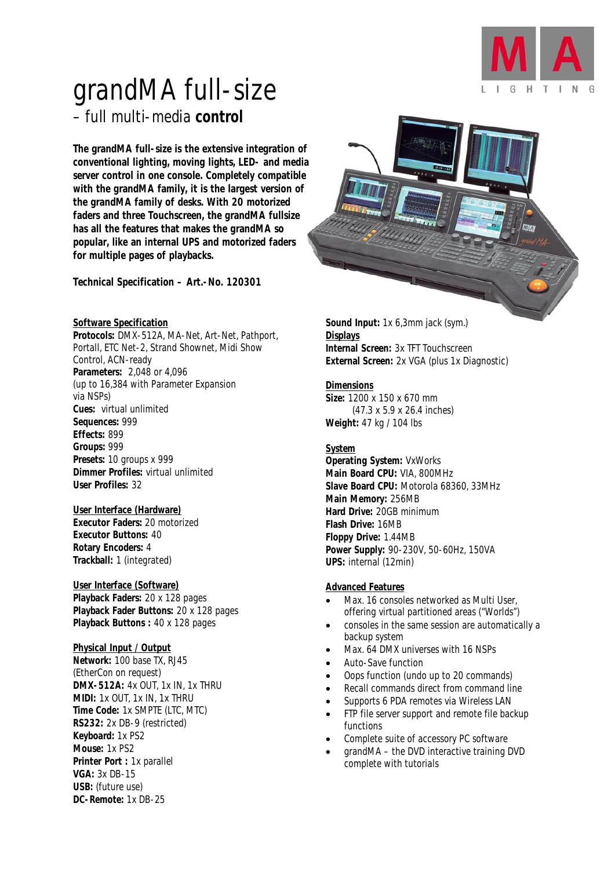

# grandMA full-size – full multi-media *control*

*The grandMA full-size is the extensive integration of conventional lighting, moving lights, LED- and media server control in one console. Completely compatible with the grandMA family, it is the largest version of the grandMA family of desks. With 20 motorized faders and three Touchscreen, the grandMA fullsize has all the features that makes the grandMA so popular, like an internal UPS and motorized faders for multiple pages of playbacks.* 

*Technical Specification – Art.-No. 120301* 

#### *Software Specification*

*Protocols:* DMX-512A, MA-Net, Art-Net, Pathport, Portall, ETC Net-2, Strand Shownet, Midi Show Control, ACN-ready *Parameters:* 2,048 or 4,096 (up to 16,384 with Parameter Expansion via NSPs) *Cues:* virtual unlimited *Sequences:* 999 *Effects:* 899 *Groups:* 999 *Presets:* 10 groups x 999 *Dimmer Profiles:* virtual unlimited *User Profiles:* 32

### *User Interface (Hardware)*

*Executor Faders:* 20 motorized *Executor Buttons:* 40 *Rotary Encoders:* 4 *Trackball:* 1 (integrated)

#### *User Interface (Software)*

*Playback Faders:* 20 x 128 pages *Playback Fader Buttons:* 20 x 128 pages *Playback Buttons :* 40 x 128 pages

#### *Physical Input / Output*

*Network:* 100 base TX, RJ45 (EtherCon on request) *DMX-512A:* 4x OUT, 1x IN, 1x THRU *MIDI:* 1x OUT, 1x IN, 1x THRU *Time Code:* 1x SMPTE (LTC, MTC) *RS232:* 2x DB-9 (restricted) *Keyboard:* 1x PS2 *Mouse:* 1x PS2 *Printer Port :* 1x parallel *VGA:* 3x DB-15 *USB:* (future use) *DC-Remote:* 1x DB-25



*Sound Input:* 1x 6,3mm jack (sym.) *Displays Internal Screen:* 3x TFT Touchscreen *External Screen:* 2x VGA (plus 1x Diagnostic)

#### *Dimensions*

*Size:* 1200 x 150 x 670 mm (47.3 x 5.9 x 26.4 inches) *Weight:* 47 kg / 104 lbs

#### *System*

*Operating System:* VxWorks *Main Board CPU:* VIA, 800MHz *Slave Board CPU:* Motorola 68360, 33MHz *Main Memory:* 256MB *Hard Drive:* 20GB minimum *Flash Drive:* 16MB *Floppy Drive:* 1.44MB *Power Supply:* 90-230V, 50-60Hz, 150VA *UPS:* internal (12min)

#### *Advanced Features*

- Max. 16 consoles networked as Multi User, offering virtual partitioned areas ("Worlds")
- consoles in the same session are automatically a backup system
- Max. 64 DMX universes with 16 NSPs
- Auto-Save function
- Oops function (undo up to 20 commands)
- Recall commands direct from command line
- Supports 6 PDA remotes via Wireless LAN
- FTP file server support and remote file backup functions
- Complete suite of accessory PC software
- grandMA the DVD interactive training DVD complete with tutorials